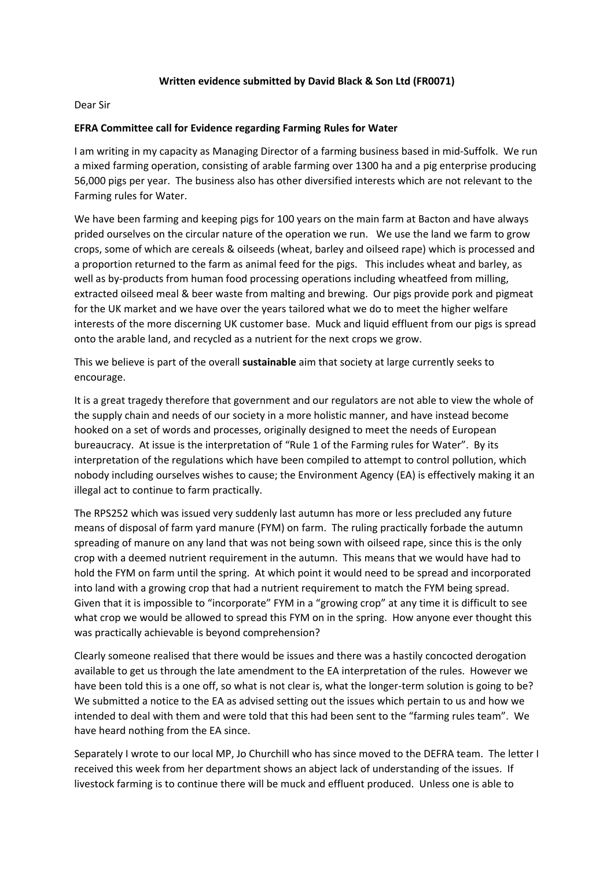## **Written evidence submitted by David Black & Son Ltd (FR0071)**

## Dear Sir

## **EFRA Committee call for Evidence regarding Farming Rules for Water**

I am writing in my capacity as Managing Director of a farming business based in mid-Suffolk. We run a mixed farming operation, consisting of arable farming over 1300 ha and a pig enterprise producing 56,000 pigs per year. The business also has other diversified interests which are not relevant to the Farming rules for Water.

We have been farming and keeping pigs for 100 years on the main farm at Bacton and have always prided ourselves on the circular nature of the operation we run. We use the land we farm to grow crops, some of which are cereals & oilseeds (wheat, barley and oilseed rape) which is processed and a proportion returned to the farm as animal feed for the pigs. This includes wheat and barley, as well as by-products from human food processing operations including wheatfeed from milling, extracted oilseed meal & beer waste from malting and brewing. Our pigs provide pork and pigmeat for the UK market and we have over the years tailored what we do to meet the higher welfare interests of the more discerning UK customer base. Muck and liquid effluent from our pigs is spread onto the arable land, and recycled as a nutrient for the next crops we grow.

This we believe is part of the overall **sustainable** aim that society at large currently seeks to encourage.

It is a great tragedy therefore that government and our regulators are not able to view the whole of the supply chain and needs of our society in a more holistic manner, and have instead become hooked on a set of words and processes, originally designed to meet the needs of European bureaucracy. At issue is the interpretation of "Rule 1 of the Farming rules for Water". By its interpretation of the regulations which have been compiled to attempt to control pollution, which nobody including ourselves wishes to cause; the Environment Agency (EA) is effectively making it an illegal act to continue to farm practically.

The RPS252 which was issued very suddenly last autumn has more or less precluded any future means of disposal of farm yard manure (FYM) on farm. The ruling practically forbade the autumn spreading of manure on any land that was not being sown with oilseed rape, since this is the only crop with a deemed nutrient requirement in the autumn. This means that we would have had to hold the FYM on farm until the spring. At which point it would need to be spread and incorporated into land with a growing crop that had a nutrient requirement to match the FYM being spread. Given that it is impossible to "incorporate" FYM in a "growing crop" at any time it is difficult to see what crop we would be allowed to spread this FYM on in the spring. How anyone ever thought this was practically achievable is beyond comprehension?

Clearly someone realised that there would be issues and there was a hastily concocted derogation available to get us through the late amendment to the EA interpretation of the rules. However we have been told this is a one off, so what is not clear is, what the longer-term solution is going to be? We submitted a notice to the EA as advised setting out the issues which pertain to us and how we intended to deal with them and were told that this had been sent to the "farming rules team". We have heard nothing from the EA since.

Separately I wrote to our local MP, Jo Churchill who has since moved to the DEFRA team. The letter I received this week from her department shows an abject lack of understanding of the issues. If livestock farming is to continue there will be muck and effluent produced. Unless one is able to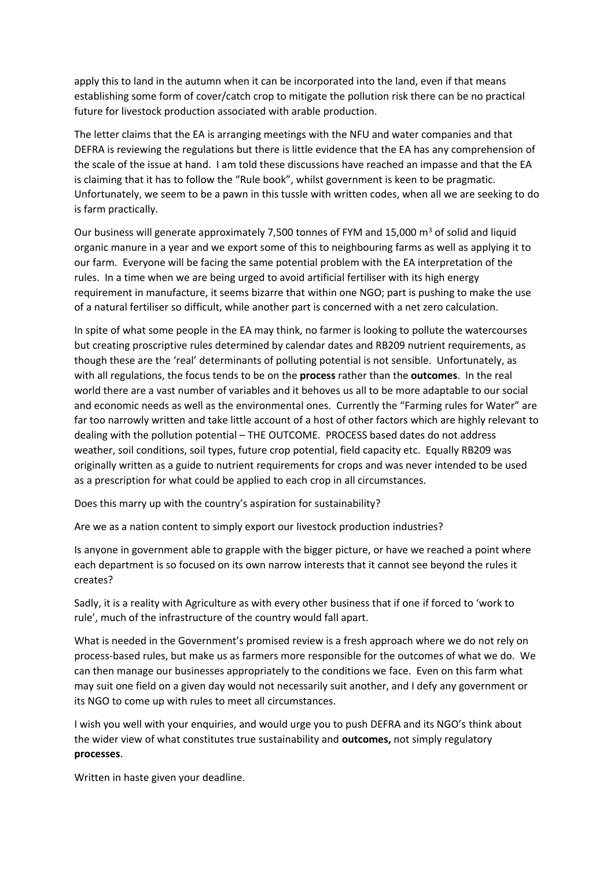apply this to land in the autumn when it can be incorporated into the land, even if that means establishing some form of cover/catch crop to mitigate the pollution risk there can be no practical future for livestock production associated with arable production.

The letter claims that the EA is arranging meetings with the NFU and water companies and that DEFRA is reviewing the regulations but there is little evidence that the EA has any comprehension of the scale of the issue at hand. I am told these discussions have reached an impasse and that the EA is claiming that it has to follow the "Rule book", whilst government is keen to be pragmatic. Unfortunately, we seem to be a pawn in this tussle with written codes, when all we are seeking to do is farm practically.

Our business will generate approximately 7,500 tonnes of FYM and 15,000  $\text{m}^3$  of solid and liquid organic manure in a year and we export some of this to neighbouring farms as well as applying it to our farm. Everyone will be facing the same potential problem with the EA interpretation of the rules. In a time when we are being urged to avoid artificial fertiliser with its high energy requirement in manufacture, it seems bizarre that within one NGO; part is pushing to make the use of a natural fertiliser so difficult, while another part is concerned with a net zero calculation.

In spite of what some people in the EA may think, no farmer is looking to pollute the watercourses but creating proscriptive rules determined by calendar dates and RB209 nutrient requirements, as though these are the 'real' determinants of polluting potential is not sensible. Unfortunately, as with all regulations, the focus tends to be on the **process** rather than the **outcomes**. In the real world there are a vast number of variables and it behoves us all to be more adaptable to our social and economic needs as well as the environmental ones. Currently the "Farming rules for Water" are far too narrowly written and take little account of a host of other factors which are highly relevant to dealing with the pollution potential – THE OUTCOME. PROCESS based dates do not address weather, soil conditions, soil types, future crop potential, field capacity etc. Equally RB209 was originally written as a guide to nutrient requirements for crops and was never intended to be used as a prescription for what could be applied to each crop in all circumstances.

Does this marry up with the country's aspiration for sustainability?

Are we as a nation content to simply export our livestock production industries?

Is anyone in government able to grapple with the bigger picture, or have we reached a point where each department is so focused on its own narrow interests that it cannot see beyond the rules it creates?

Sadly, it is a reality with Agriculture as with every other business that if one if forced to 'work to rule', much of the infrastructure of the country would fall apart.

What is needed in the Government's promised review is a fresh approach where we do not rely on process-based rules, but make us as farmers more responsible for the outcomes of what we do. We can then manage our businesses appropriately to the conditions we face. Even on this farm what may suit one field on a given day would not necessarily suit another, and I defy any government or its NGO to come up with rules to meet all circumstances.

I wish you well with your enquiries, and would urge you to push DEFRA and its NGO's think about the wider view of what constitutes true sustainability and **outcomes,** not simply regulatory **processes**.

Written in haste given your deadline.